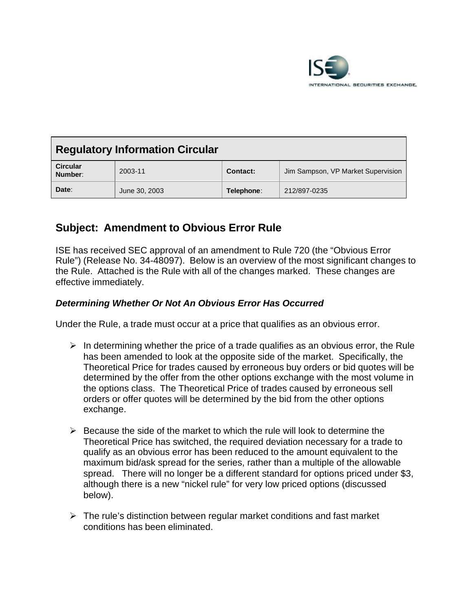

| <b>Regulatory Information Circular</b> |               |            |                                    |  |
|----------------------------------------|---------------|------------|------------------------------------|--|
| <b>Circular</b><br>Number:             | 2003-11       | Contact:   | Jim Sampson, VP Market Supervision |  |
| Date:                                  | June 30, 2003 | Telephone: | 212/897-0235                       |  |

# **Subject: Amendment to Obvious Error Rule**

ISE has received SEC approval of an amendment to Rule 720 (the "Obvious Error Rule") (Release No. 34-48097). Below is an overview of the most significant changes to the Rule. Attached is the Rule with all of the changes marked. These changes are effective immediately.

## *Determining Whether Or Not An Obvious Error Has Occurred*

Under the Rule, a trade must occur at a price that qualifies as an obvious error.

- $\triangleright$  In determining whether the price of a trade qualifies as an obvious error, the Rule has been amended to look at the opposite side of the market. Specifically, the Theoretical Price for trades caused by erroneous buy orders or bid quotes will be determined by the offer from the other options exchange with the most volume in the options class. The Theoretical Price of trades caused by erroneous sell orders or offer quotes will be determined by the bid from the other options exchange.
- $\triangleright$  Because the side of the market to which the rule will look to determine the Theoretical Price has switched, the required deviation necessary for a trade to qualify as an obvious error has been reduced to the amount equivalent to the maximum bid/ask spread for the series, rather than a multiple of the allowable spread. There will no longer be a different standard for options priced under \$3, although there is a new "nickel rule" for very low priced options (discussed below).
- $\triangleright$  The rule's distinction between regular market conditions and fast market conditions has been eliminated.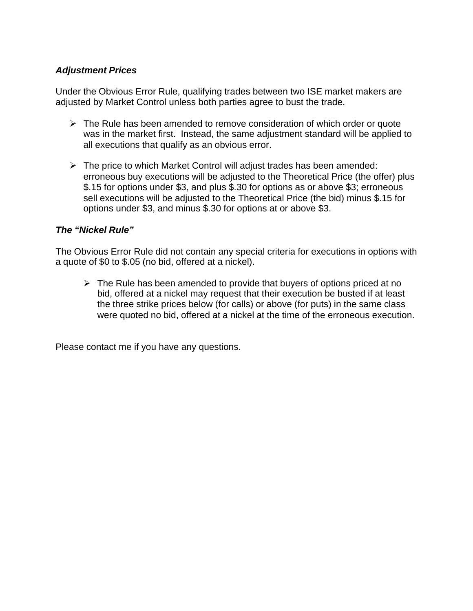## *Adjustment Prices*

Under the Obvious Error Rule, qualifying trades between two ISE market makers are adjusted by Market Control unless both parties agree to bust the trade.

- $\triangleright$  The Rule has been amended to remove consideration of which order or quote was in the market first. Instead, the same adjustment standard will be applied to all executions that qualify as an obvious error.
- $\triangleright$  The price to which Market Control will adjust trades has been amended: erroneous buy executions will be adjusted to the Theoretical Price (the offer) plus \$.15 for options under \$3, and plus \$.30 for options as or above \$3; erroneous sell executions will be adjusted to the Theoretical Price (the bid) minus \$.15 for options under \$3, and minus \$.30 for options at or above \$3.

## *The "Nickel Rule"*

The Obvious Error Rule did not contain any special criteria for executions in options with a quote of \$0 to \$.05 (no bid, offered at a nickel).

 $\triangleright$  The Rule has been amended to provide that buyers of options priced at no bid, offered at a nickel may request that their execution be busted if at least the three strike prices below (for calls) or above (for puts) in the same class were quoted no bid, offered at a nickel at the time of the erroneous execution.

Please contact me if you have any questions.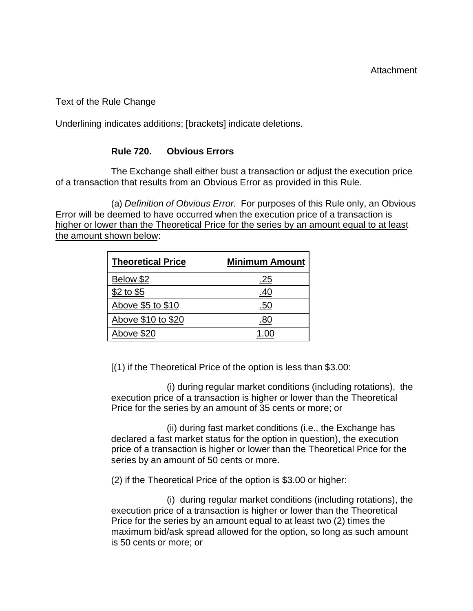### Text of the Rule Change

Underlining indicates additions; [brackets] indicate deletions.

### **Rule 720. Obvious Errors**

The Exchange shall either bust a transaction or adjust the execution price of a transaction that results from an Obvious Error as provided in this Rule.

(a) *Definition of Obvious Error.* For purposes of this Rule only, an Obvious Error will be deemed to have occurred when the execution price of a transaction is higher or lower than the Theoretical Price for the series by an amount equal to at least the amount shown below:

| <b>Theoretical Price</b> | <b>Minimum Amount</b> |  |
|--------------------------|-----------------------|--|
| Below \$2                | <u>.25</u>            |  |
| $$2$ to $$5$             | .40                   |  |
| Above \$5 to \$10        | .50                   |  |
| Above \$10 to \$20       | 80                    |  |
| Above \$20               |                       |  |

[(1) if the Theoretical Price of the option is less than \$3.00:

(i) during regular market conditions (including rotations), the execution price of a transaction is higher or lower than the Theoretical Price for the series by an amount of 35 cents or more; or

(ii) during fast market conditions (i.e., the Exchange has declared a fast market status for the option in question), the execution price of a transaction is higher or lower than the Theoretical Price for the series by an amount of 50 cents or more.

(2) if the Theoretical Price of the option is \$3.00 or higher:

(i) during regular market conditions (including rotations), the execution price of a transaction is higher or lower than the Theoretical Price for the series by an amount equal to at least two (2) times the maximum bid/ask spread allowed for the option, so long as such amount is 50 cents or more; or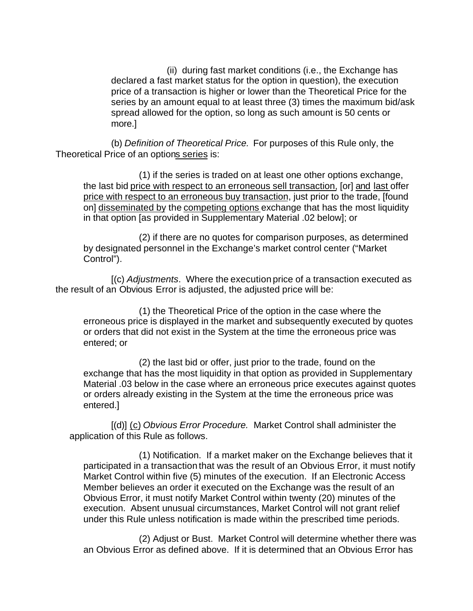(ii) during fast market conditions (i.e., the Exchange has declared a fast market status for the option in question), the execution price of a transaction is higher or lower than the Theoretical Price for the series by an amount equal to at least three (3) times the maximum bid/ask spread allowed for the option, so long as such amount is 50 cents or more.]

(b) *Definition of Theoretical Price.* For purposes of this Rule only, the Theoretical Price of an options series is:

(1) if the series is traded on at least one other options exchange, the last bid price with respect to an erroneous sell transaction, [or] and last offer price with respect to an erroneous buy transaction, just prior to the trade, [found on] disseminated by the competing options exchange that has the most liquidity in that option [as provided in Supplementary Material .02 below]; or

(2) if there are no quotes for comparison purposes, as determined by designated personnel in the Exchange's market control center ("Market Control").

[(c) *Adjustments*. Where the execution price of a transaction executed as the result of an Obvious Error is adjusted, the adjusted price will be:

(1) the Theoretical Price of the option in the case where the erroneous price is displayed in the market and subsequently executed by quotes or orders that did not exist in the System at the time the erroneous price was entered; or

(2) the last bid or offer, just prior to the trade, found on the exchange that has the most liquidity in that option as provided in Supplementary Material .03 below in the case where an erroneous price executes against quotes or orders already existing in the System at the time the erroneous price was entered.]

[(d)] (c) *Obvious Error Procedure.* Market Control shall administer the application of this Rule as follows.

(1) Notification. If a market maker on the Exchange believes that it participated in a transaction that was the result of an Obvious Error, it must notify Market Control within five (5) minutes of the execution. If an Electronic Access Member believes an order it executed on the Exchange was the result of an Obvious Error, it must notify Market Control within twenty (20) minutes of the execution. Absent unusual circumstances, Market Control will not grant relief under this Rule unless notification is made within the prescribed time periods.

(2) Adjust or Bust. Market Control will determine whether there was an Obvious Error as defined above. If it is determined that an Obvious Error has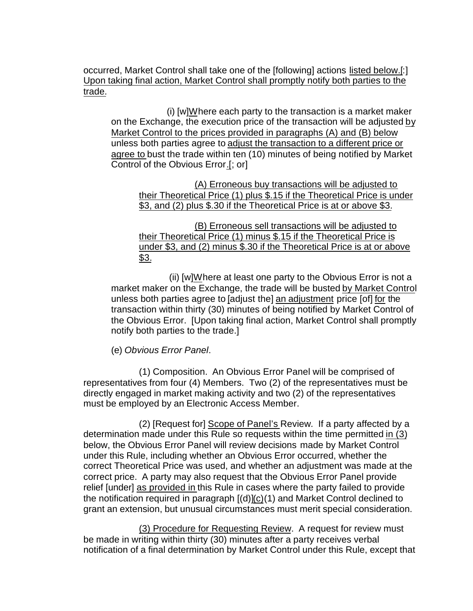occurred, Market Control shall take one of the [following] actions listed below.[:] Upon taking final action, Market Control shall promptly notify both parties to the trade.

(i) [w]Where each party to the transaction is a market maker on the Exchange, the execution price of the transaction will be adjusted by Market Control to the prices provided in paragraphs (A) and (B) below unless both parties agree to adjust the transaction to a different price or agree to bust the trade within ten (10) minutes of being notified by Market Control of the Obvious Error.[; or]

(A) Erroneous buy transactions will be adjusted to their Theoretical Price (1) plus \$.15 if the Theoretical Price is under \$3, and (2) plus \$.30 if the Theoretical Price is at or above \$3.

(B) Erroneous sell transactions will be adjusted to their Theoretical Price (1) minus \$.15 if the Theoretical Price is under \$3, and (2) minus \$.30 if the Theoretical Price is at or above \$3.

 (ii) [w]Where at least one party to the Obvious Error is not a market maker on the Exchange, the trade will be busted by Market Control unless both parties agree to [adjust the] an adjustment price [of] for the transaction within thirty (30) minutes of being notified by Market Control of the Obvious Error. [Upon taking final action, Market Control shall promptly notify both parties to the trade.]

(e) *Obvious Error Panel*.

(1) Composition. An Obvious Error Panel will be comprised of representatives from four (4) Members. Two (2) of the representatives must be directly engaged in market making activity and two (2) of the representatives must be employed by an Electronic Access Member.

(2) [Request for] Scope of Panel's Review*.* If a party affected by a determination made under this Rule so requests within the time permitted in (3) below, the Obvious Error Panel will review decisions made by Market Control under this Rule, including whether an Obvious Error occurred, whether the correct Theoretical Price was used, and whether an adjustment was made at the correct price. A party may also request that the Obvious Error Panel provide relief [under] as provided in this Rule in cases where the party failed to provide the notification required in paragraph [(d)](c)(1) and Market Control declined to grant an extension, but unusual circumstances must merit special consideration.

(3) Procedure for Requesting Review. A request for review must be made in writing within thirty (30) minutes after a party receives verbal notification of a final determination by Market Control under this Rule, except that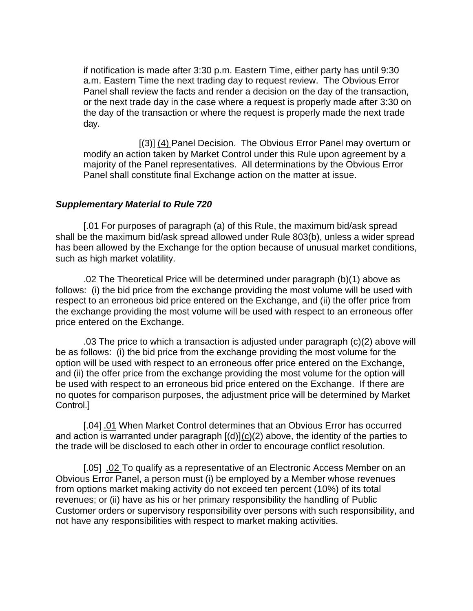if notification is made after 3:30 p.m. Eastern Time, either party has until 9:30 a.m. Eastern Time the next trading day to request review. The Obvious Error Panel shall review the facts and render a decision on the day of the transaction, or the next trade day in the case where a request is properly made after 3:30 on the day of the transaction or where the request is properly made the next trade day.

[(3)] (4) Panel Decision. The Obvious Error Panel may overturn or modify an action taken by Market Control under this Rule upon agreement by a majority of the Panel representatives. All determinations by the Obvious Error Panel shall constitute final Exchange action on the matter at issue.

#### *Supplementary Material to Rule 720*

[.01 For purposes of paragraph (a) of this Rule, the maximum bid/ask spread shall be the maximum bid/ask spread allowed under Rule 803(b), unless a wider spread has been allowed by the Exchange for the option because of unusual market conditions, such as high market volatility.

.02 The Theoretical Price will be determined under paragraph (b)(1) above as follows: (i) the bid price from the exchange providing the most volume will be used with respect to an erroneous bid price entered on the Exchange, and (ii) the offer price from the exchange providing the most volume will be used with respect to an erroneous offer price entered on the Exchange.

 .03 The price to which a transaction is adjusted under paragraph (c)(2) above will be as follows: (i) the bid price from the exchange providing the most volume for the option will be used with respect to an erroneous offer price entered on the Exchange, and (ii) the offer price from the exchange providing the most volume for the option will be used with respect to an erroneous bid price entered on the Exchange. If there are no quotes for comparison purposes, the adjustment price will be determined by Market Control.]

[.04] .01 When Market Control determines that an Obvious Error has occurred and action is warranted under paragraph  $[(d)](c)(2)$  above, the identity of the parties to the trade will be disclosed to each other in order to encourage conflict resolution.

[.05] .02 To qualify as a representative of an Electronic Access Member on an Obvious Error Panel, a person must (i) be employed by a Member whose revenues from options market making activity do not exceed ten percent (10%) of its total revenues; or (ii) have as his or her primary responsibility the handling of Public Customer orders or supervisory responsibility over persons with such responsibility, and not have any responsibilities with respect to market making activities.